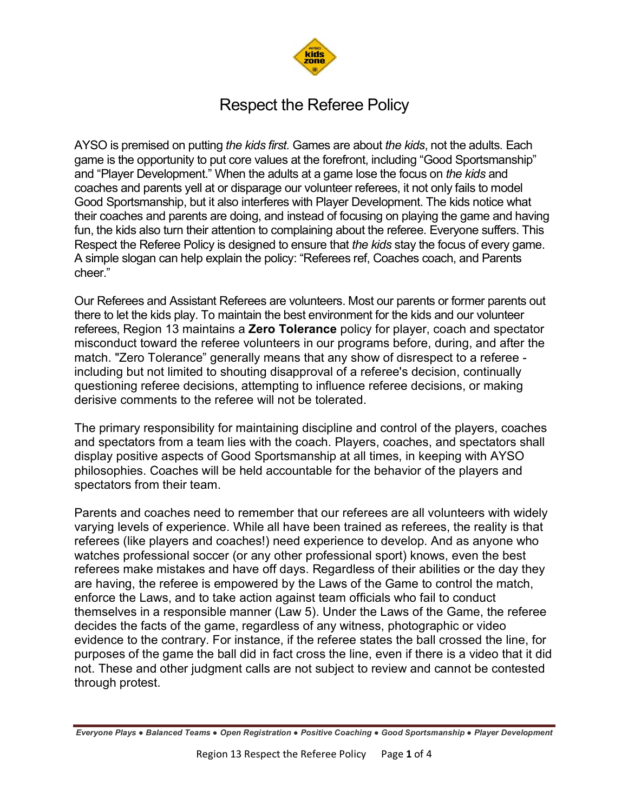

## Respect the Referee Policy

AYSO is premised on putting *the kids first.* Games are about *the kids*, not the adults. Each game is the opportunity to put core values at the forefront, including "Good Sportsmanship" and "Player Development." When the adults at a game lose the focus on *the kids* and coaches and parents yell at or disparage our volunteer referees, it not only fails to model Good Sportsmanship, but it also interferes with Player Development. The kids notice what their coaches and parents are doing, and instead of focusing on playing the game and having fun, the kids also turn their attention to complaining about the referee. Everyone suffers. This Respect the Referee Policy is designed to ensure that *the kids* stay the focus of every game. A simple slogan can help explain the policy: "Referees ref, Coaches coach, and Parents cheer."

Our Referees and Assistant Referees are volunteers. Most our parents or former parents out there to let the kids play. To maintain the best environment for the kids and our volunteer referees, Region 13 maintains a **Zero Tolerance** policy for player, coach and spectator misconduct toward the referee volunteers in our programs before, during, and after the match. "Zero Tolerance" generally means that any show of disrespect to a referee including but not limited to shouting disapproval of a referee's decision, continually questioning referee decisions, attempting to influence referee decisions, or making derisive comments to the referee will not be tolerated.

The primary responsibility for maintaining discipline and control of the players, coaches and spectators from a team lies with the coach. Players, coaches, and spectators shall display positive aspects of Good Sportsmanship at all times, in keeping with AYSO philosophies. Coaches will be held accountable for the behavior of the players and spectators from their team.

Parents and coaches need to remember that our referees are all volunteers with widely varying levels of experience. While all have been trained as referees, the reality is that referees (like players and coaches!) need experience to develop. And as anyone who watches professional soccer (or any other professional sport) knows, even the best referees make mistakes and have off days. Regardless of their abilities or the day they are having, the referee is empowered by the Laws of the Game to control the match, enforce the Laws, and to take action against team officials who fail to conduct themselves in a responsible manner (Law 5). Under the Laws of the Game, the referee decides the facts of the game, regardless of any witness, photographic or video evidence to the contrary. For instance, if the referee states the ball crossed the line, for purposes of the game the ball did in fact cross the line, even if there is a video that it did not. These and other judgment calls are not subject to review and cannot be contested through protest.

*Everyone Plays ● Balanced Teams ● Open Registration ● Positive Coaching ● Good Sportsmanship ● Player Development*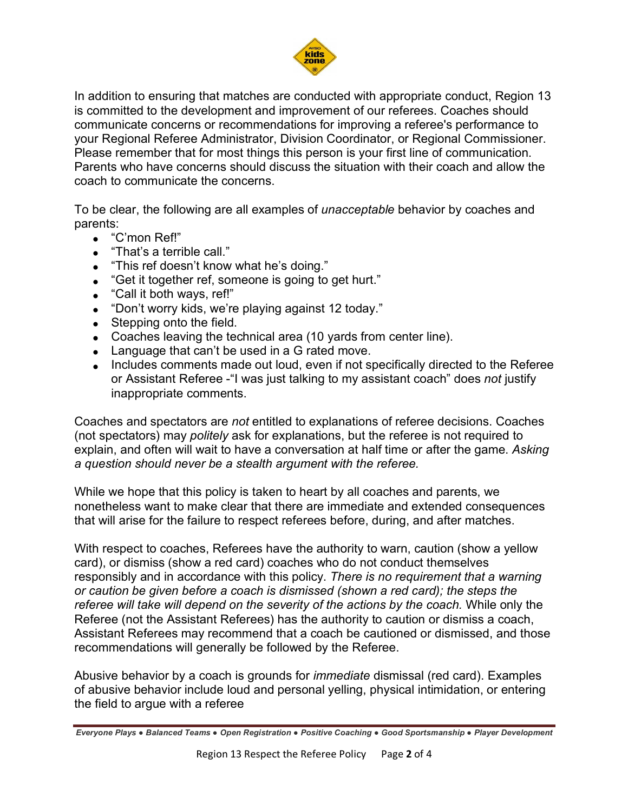

In addition to ensuring that matches are conducted with appropriate conduct, Region 13 is committed to the development and improvement of our referees. Coaches should communicate concerns or recommendations for improving a referee's performance to your Regional Referee Administrator, Division Coordinator, or Regional Commissioner. Please remember that for most things this person is your first line of communication. Parents who have concerns should discuss the situation with their coach and allow the coach to communicate the concerns.

To be clear, the following are all examples of *unacceptable* behavior by coaches and parents:

- "C'mon Ref!"
- "That's a terrible call."
- "This ref doesn't know what he's doing."
- "Get it together ref, someone is going to get hurt."
- "Call it both ways, ref!"
- "Don't worry kids, we're playing against 12 today."
- Stepping onto the field.
- Coaches leaving the technical area (10 yards from center line).
- Language that can't be used in a G rated move.
- Includes comments made out loud, even if not specifically directed to the Referee or Assistant Referee -"I was just talking to my assistant coach" does *not* justify inappropriate comments.

Coaches and spectators are *not* entitled to explanations of referee decisions. Coaches (not spectators) may *politely* ask for explanations, but the referee is not required to explain, and often will wait to have a conversation at half time or after the game. *Asking a question should never be a stealth argument with the referee.*

While we hope that this policy is taken to heart by all coaches and parents, we nonetheless want to make clear that there are immediate and extended consequences that will arise for the failure to respect referees before, during, and after matches.

With respect to coaches, Referees have the authority to warn, caution (show a yellow card), or dismiss (show a red card) coaches who do not conduct themselves responsibly and in accordance with this policy. *There is no requirement that a warning or caution be given before a coach is dismissed (shown a red card); the steps the referee will take will depend on the severity of the actions by the coach.* While only the Referee (not the Assistant Referees) has the authority to caution or dismiss a coach, Assistant Referees may recommend that a coach be cautioned or dismissed, and those recommendations will generally be followed by the Referee.

Abusive behavior by a coach is grounds for *immediate* dismissal (red card). Examples of abusive behavior include loud and personal yelling, physical intimidation, or entering the field to argue with a referee

*Everyone Plays ● Balanced Teams ● Open Registration ● Positive Coaching ● Good Sportsmanship ● Player Development*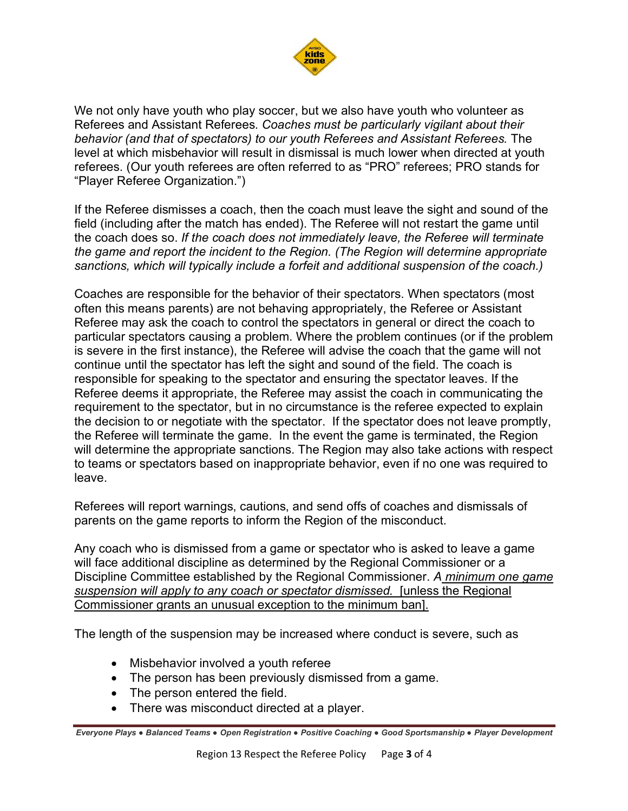

We not only have youth who play soccer, but we also have youth who volunteer as Referees and Assistant Referees. *Coaches must be particularly vigilant about their behavior (and that of spectators) to our youth Referees and Assistant Referees.* The level at which misbehavior will result in dismissal is much lower when directed at youth referees. (Our youth referees are often referred to as "PRO" referees; PRO stands for "Player Referee Organization.")

If the Referee dismisses a coach, then the coach must leave the sight and sound of the field (including after the match has ended). The Referee will not restart the game until the coach does so. *If the coach does not immediately leave, the Referee will terminate the game and report the incident to the Region. (The Region will determine appropriate sanctions, which will typically include a forfeit and additional suspension of the coach.)*

Coaches are responsible for the behavior of their spectators. When spectators (most often this means parents) are not behaving appropriately, the Referee or Assistant Referee may ask the coach to control the spectators in general or direct the coach to particular spectators causing a problem. Where the problem continues (or if the problem is severe in the first instance), the Referee will advise the coach that the game will not continue until the spectator has left the sight and sound of the field. The coach is responsible for speaking to the spectator and ensuring the spectator leaves. If the Referee deems it appropriate, the Referee may assist the coach in communicating the requirement to the spectator, but in no circumstance is the referee expected to explain the decision to or negotiate with the spectator. If the spectator does not leave promptly, the Referee will terminate the game. In the event the game is terminated, the Region will determine the appropriate sanctions. The Region may also take actions with respect to teams or spectators based on inappropriate behavior, even if no one was required to leave.

Referees will report warnings, cautions, and send offs of coaches and dismissals of parents on the game reports to inform the Region of the misconduct.

Any coach who is dismissed from a game or spectator who is asked to leave a game will face additional discipline as determined by the Regional Commissioner or a Discipline Committee established by the Regional Commissioner. *A minimum one game suspension will apply to any coach or spectator dismissed.* [unless the Regional Commissioner grants an unusual exception to the minimum ban].

The length of the suspension may be increased where conduct is severe, such as

- Misbehavior involved a youth referee
- The person has been previously dismissed from a game.
- The person entered the field.
- There was misconduct directed at a player.

*Everyone Plays ● Balanced Teams ● Open Registration ● Positive Coaching ● Good Sportsmanship ● Player Development*